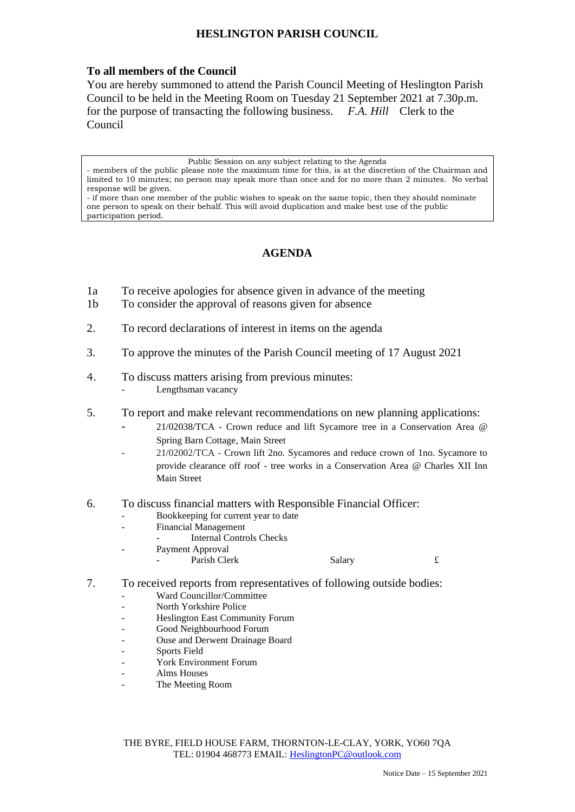## **HESLINGTON PARISH COUNCIL**

## **To all members of the Council**

You are hereby summoned to attend the Parish Council Meeting of Heslington Parish Council to be held in the Meeting Room on Tuesday 21 September 2021 at 7.30p.m. for the purpose of transacting the following business. *F.A. Hill* Clerk to the Council

Public Session on any subject relating to the Agenda

## **AGENDA**

- 1a To receive apologies for absence given in advance of the meeting
- 1b To consider the approval of reasons given for absence
- 2. To record declarations of interest in items on the agenda
- 3. To approve the minutes of the Parish Council meeting of 17 August 2021
- 4. To discuss matters arising from previous minutes:
	- Lengthsman vacancy
- 5. To report and make relevant recommendations on new planning applications:
	- 21/02038/TCA Crown reduce and lift Sycamore tree in a Conservation Area @ Spring Barn Cottage, Main Street
	- 21/02002/TCA Crown lift 2no. Sycamores and reduce crown of 1no. Sycamore to provide clearance off roof - tree works in a Conservation Area @ Charles XII Inn Main Street
- 6. To discuss financial matters with Responsible Financial Officer:
	- Bookkeeping for current year to date
	- Financial Management
		- Internal Controls Checks
	- Payment Approval
		- Parish Clerk Salary 5. Salary £
- 7. To received reports from representatives of following outside bodies:
	- Ward Councillor/Committee
	- North Yorkshire Police
	- Heslington East Community Forum
	- Good Neighbourhood Forum
	- Ouse and Derwent Drainage Board
	- Sports Field
	- York Environment Forum
	- Alms Houses
	- The Meeting Room

THE BYRE, FIELD HOUSE FARM, THORNTON-LE-CLAY, YORK, YO60 7QA TEL: 01904 468773 EMAIL: [HeslingtonPC@outlook.com](mailto:HeslingtonPC@outlook.com)

<sup>-</sup> members of the public please note the maximum time for this, is at the discretion of the Chairman and limited to 10 minutes; no person may speak more than once and for no more than 2 minutes. No verbal response will be given.

<sup>-</sup> if more than one member of the public wishes to speak on the same topic, then they should nominate one person to speak on their behalf. This will avoid duplication and make best use of the public participation period.